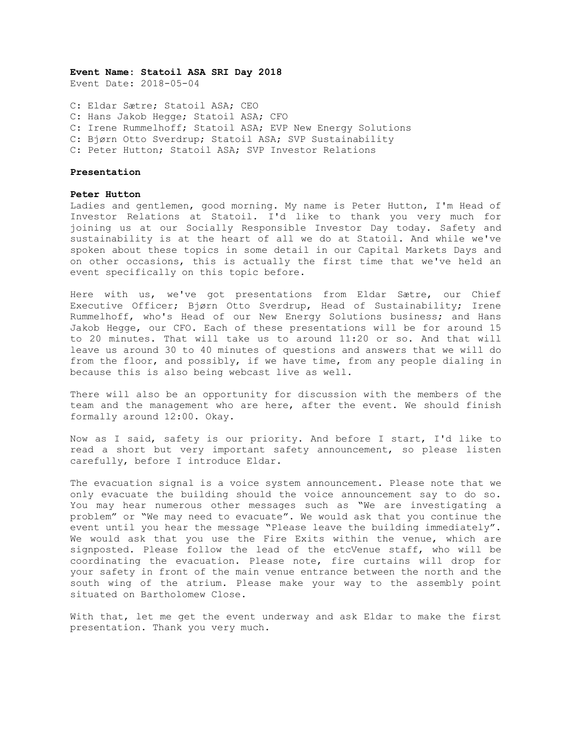**Event Name: Statoil ASA SRI Day 2018**

Event Date: 2018-05-04

C: Eldar Sætre; Statoil ASA; CEO C: Hans Jakob Hegge; Statoil ASA; CFO C: Irene Rummelhoff; Statoil ASA; EVP New Energy Solutions C: Bjørn Otto Sverdrup; Statoil ASA; SVP Sustainability C: Peter Hutton; Statoil ASA; SVP Investor Relations

### **Presentation**

## **Peter Hutton**

Ladies and gentlemen, good morning. My name is Peter Hutton, I'm Head of Investor Relations at Statoil. I'd like to thank you very much for joining us at our Socially Responsible Investor Day today. Safety and sustainability is at the heart of all we do at Statoil. And while we've spoken about these topics in some detail in our Capital Markets Days and on other occasions, this is actually the first time that we've held an event specifically on this topic before.

Here with us, we've got presentations from Eldar Sætre, our Chief Executive Officer; Bjørn Otto Sverdrup, Head of Sustainability; Irene Rummelhoff, who's Head of our New Energy Solutions business; and Hans Jakob Hegge, our CFO. Each of these presentations will be for around 15 to 20 minutes. That will take us to around 11:20 or so. And that will leave us around 30 to 40 minutes of questions and answers that we will do from the floor, and possibly, if we have time, from any people dialing in because this is also being webcast live as well.

There will also be an opportunity for discussion with the members of the team and the management who are here, after the event. We should finish formally around 12:00. Okay.

Now as I said, safety is our priority. And before I start, I'd like to read a short but very important safety announcement, so please listen carefully, before I introduce Eldar.

The evacuation signal is a voice system announcement. Please note that we only evacuate the building should the voice announcement say to do so. You may hear numerous other messages such as "We are investigating a problem" or "We may need to evacuate". We would ask that you continue the event until you hear the message "Please leave the building immediately". We would ask that you use the Fire Exits within the venue, which are signposted. Please follow the lead of the etcVenue staff, who will be coordinating the evacuation. Please note, fire curtains will drop for your safety in front of the main venue entrance between the north and the south wing of the atrium. Please make your way to the assembly point situated on Bartholomew Close.

With that, let me get the event underway and ask Eldar to make the first presentation. Thank you very much.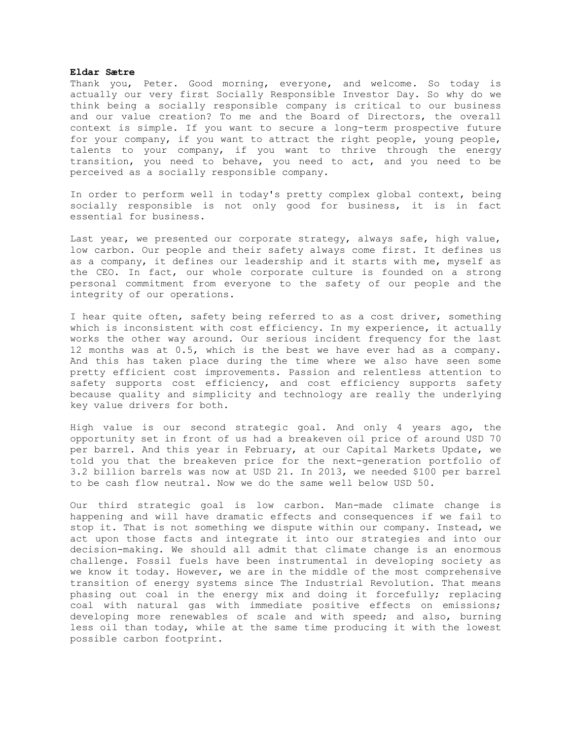## **Eldar Sætre**

Thank you, Peter. Good morning, everyone, and welcome. So today is actually our very first Socially Responsible Investor Day. So why do we think being a socially responsible company is critical to our business and our value creation? To me and the Board of Directors, the overall context is simple. If you want to secure a long-term prospective future for your company, if you want to attract the right people, young people, talents to your company, if you want to thrive through the energy transition, you need to behave, you need to act, and you need to be perceived as a socially responsible company.

In order to perform well in today's pretty complex global context, being socially responsible is not only good for business, it is in fact essential for business.

Last year, we presented our corporate strategy, always safe, high value, low carbon. Our people and their safety always come first. It defines us as a company, it defines our leadership and it starts with me, myself as the CEO. In fact, our whole corporate culture is founded on a strong personal commitment from everyone to the safety of our people and the integrity of our operations.

I hear quite often, safety being referred to as a cost driver, something which is inconsistent with cost efficiency. In my experience, it actually works the other way around. Our serious incident frequency for the last 12 months was at 0.5, which is the best we have ever had as a company. And this has taken place during the time where we also have seen some pretty efficient cost improvements. Passion and relentless attention to safety supports cost efficiency, and cost efficiency supports safety because quality and simplicity and technology are really the underlying key value drivers for both.

High value is our second strategic goal. And only 4 years ago, the opportunity set in front of us had a breakeven oil price of around USD 70 per barrel. And this year in February, at our Capital Markets Update, we told you that the breakeven price for the next-generation portfolio of 3.2 billion barrels was now at USD 21. In 2013, we needed \$100 per barrel to be cash flow neutral. Now we do the same well below USD 50.

Our third strategic goal is low carbon. Man-made climate change is happening and will have dramatic effects and consequences if we fail to stop it. That is not something we dispute within our company. Instead, we act upon those facts and integrate it into our strategies and into our decision-making. We should all admit that climate change is an enormous challenge. Fossil fuels have been instrumental in developing society as we know it today. However, we are in the middle of the most comprehensive transition of energy systems since The Industrial Revolution. That means phasing out coal in the energy mix and doing it forcefully; replacing coal with natural gas with immediate positive effects on emissions; developing more renewables of scale and with speed; and also, burning less oil than today, while at the same time producing it with the lowest possible carbon footprint.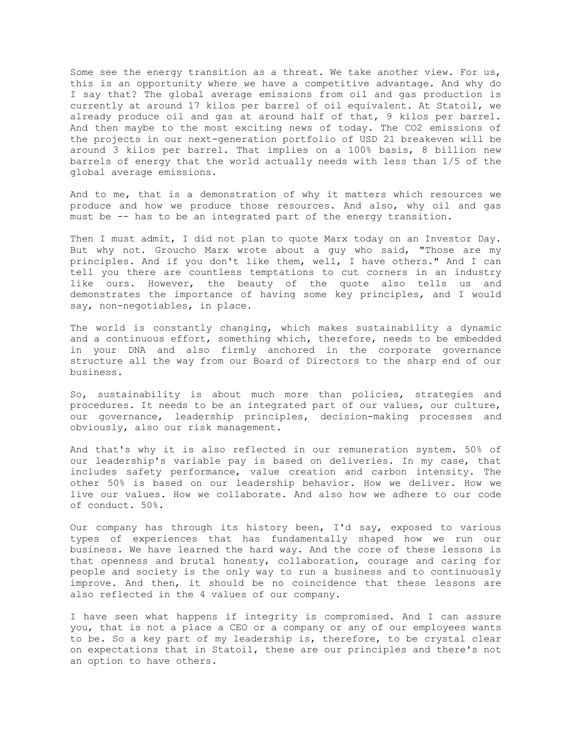Some see the energy transition as a threat. We take another view. For us, this is an opportunity where we have a competitive advantage. And why do I say that? The global average emissions from oil and gas production is currently at around 17 kilos per barrel of oil equivalent. At Statoil, we already produce oil and gas at around half of that, 9 kilos per barrel. And then maybe to the most exciting news of today. The CO2 emissions of the projects in our next-generation portfolio of USD 21 breakeven will be around 3 kilos per barrel. That implies on a 100% basis, 8 billion new barrels of energy that the world actually needs with less than 1/5 of the global average emissions.

And to me, that is a demonstration of why it matters which resources we produce and how we produce those resources. And also, why oil and gas must be -- has to be an integrated part of the energy transition.

Then I must admit, I did not plan to quote Marx today on an Investor Day. But why not. Groucho Marx wrote about a guy who said, "Those are my principles. And if you don't like them, well, I have others." And I can tell you there are countless temptations to cut corners in an industry like ours. However, the beauty of the quote also tells us and demonstrates the importance of having some key principles, and I would say, non-negotiables, in place.

The world is constantly changing, which makes sustainability a dynamic and a continuous effort, something which, therefore, needs to be embedded in your DNA and also firmly anchored in the corporate governance structure all the way from our Board of Directors to the sharp end of our business.

So, sustainability is about much more than policies, strategies and procedures. It needs to be an integrated part of our values, our culture, our governance, leadership principles, decision-making processes and obviously, also our risk management.

And that's why it is also reflected in our remuneration system. 50% of our leadership's variable pay is based on deliveries. In my case, that includes safety performance, value creation and carbon intensity. The other 50% is based on our leadership behavior. How we deliver. How we live our values. How we collaborate. And also how we adhere to our code of conduct. 50%.

Our company has through its history been, I'd say, exposed to various types of experiences that has fundamentally shaped how we run our business. We have learned the hard way. And the core of these lessons is that openness and brutal honesty, collaboration, courage and caring for people and society is the only way to run a business and to continuously improve. And then, it should be no coincidence that these lessons are also reflected in the 4 values of our company.

I have seen what happens if integrity is compromised. And I can assure you, that is not a place a CEO or a company or any of our employees wants to be. So a key part of my leadership is, therefore, to be crystal clear on expectations that in Statoil, these are our principles and there's not an option to have others.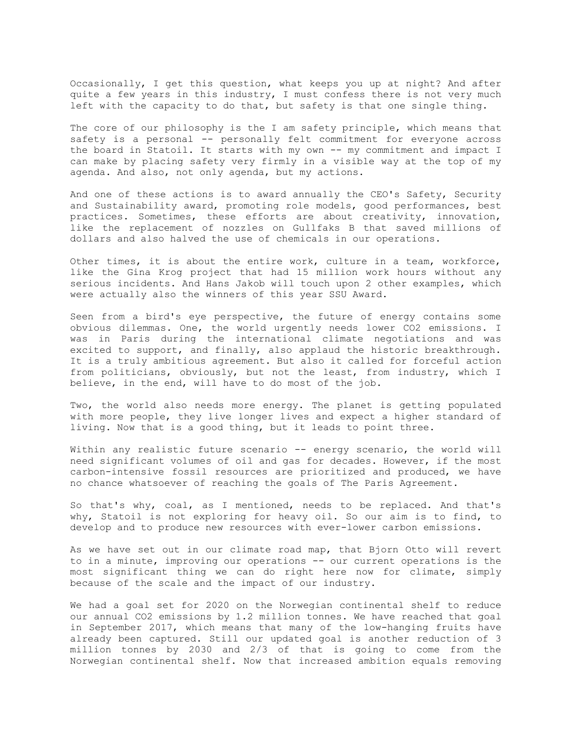Occasionally, I get this question, what keeps you up at night? And after quite a few years in this industry, I must confess there is not very much left with the capacity to do that, but safety is that one single thing.

The core of our philosophy is the I am safety principle, which means that safety is a personal -- personally felt commitment for everyone across the board in Statoil. It starts with my own -- my commitment and impact I can make by placing safety very firmly in a visible way at the top of my agenda. And also, not only agenda, but my actions.

And one of these actions is to award annually the CEO's Safety, Security and Sustainability award, promoting role models, good performances, best practices. Sometimes, these efforts are about creativity, innovation, like the replacement of nozzles on Gullfaks B that saved millions of dollars and also halved the use of chemicals in our operations.

Other times, it is about the entire work, culture in a team, workforce, like the Gina Krog project that had 15 million work hours without any serious incidents. And Hans Jakob will touch upon 2 other examples, which were actually also the winners of this year SSU Award.

Seen from a bird's eye perspective, the future of energy contains some obvious dilemmas. One, the world urgently needs lower CO2 emissions. I was in Paris during the international climate negotiations and was excited to support, and finally, also applaud the historic breakthrough. It is a truly ambitious agreement. But also it called for forceful action from politicians, obviously, but not the least, from industry, which I believe, in the end, will have to do most of the job.

Two, the world also needs more energy. The planet is getting populated with more people, they live longer lives and expect a higher standard of living. Now that is a good thing, but it leads to point three.

Within any realistic future scenario -- energy scenario, the world will need significant volumes of oil and gas for decades. However, if the most carbon-intensive fossil resources are prioritized and produced, we have no chance whatsoever of reaching the goals of The Paris Agreement.

So that's why, coal, as I mentioned, needs to be replaced. And that's why, Statoil is not exploring for heavy oil. So our aim is to find, to develop and to produce new resources with ever-lower carbon emissions.

As we have set out in our climate road map, that Bjorn Otto will revert to in a minute, improving our operations -- our current operations is the most significant thing we can do right here now for climate, simply because of the scale and the impact of our industry.

We had a goal set for 2020 on the Norwegian continental shelf to reduce our annual CO2 emissions by 1.2 million tonnes. We have reached that goal in September 2017, which means that many of the low-hanging fruits have already been captured. Still our updated goal is another reduction of 3 million tonnes by 2030 and 2/3 of that is going to come from the Norwegian continental shelf. Now that increased ambition equals removing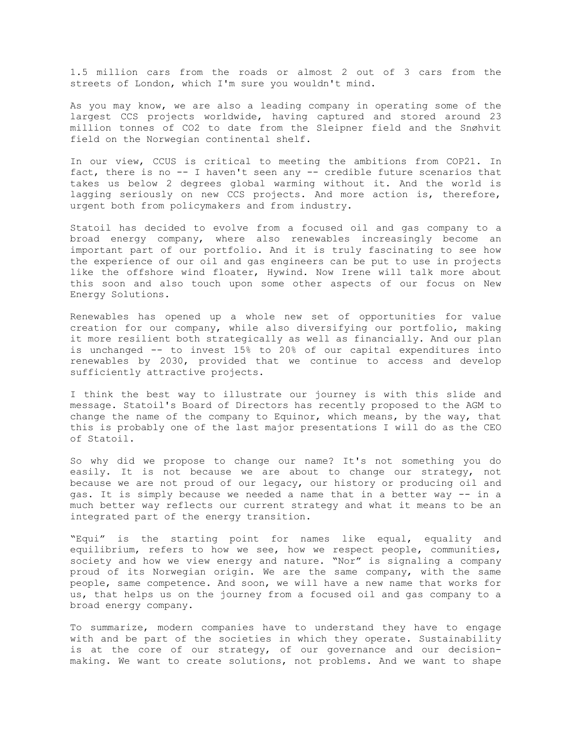1.5 million cars from the roads or almost 2 out of 3 cars from the streets of London, which I'm sure you wouldn't mind.

As you may know, we are also a leading company in operating some of the largest CCS projects worldwide, having captured and stored around 23 million tonnes of CO2 to date from the Sleipner field and the Snøhvit field on the Norwegian continental shelf.

In our view, CCUS is critical to meeting the ambitions from COP21. In fact, there is no -- I haven't seen any -- credible future scenarios that takes us below 2 degrees global warming without it. And the world is lagging seriously on new CCS projects. And more action is, therefore, urgent both from policymakers and from industry.

Statoil has decided to evolve from a focused oil and gas company to a broad energy company, where also renewables increasingly become an important part of our portfolio. And it is truly fascinating to see how the experience of our oil and gas engineers can be put to use in projects like the offshore wind floater, Hywind. Now Irene will talk more about this soon and also touch upon some other aspects of our focus on New Energy Solutions.

Renewables has opened up a whole new set of opportunities for value creation for our company, while also diversifying our portfolio, making it more resilient both strategically as well as financially. And our plan is unchanged -- to invest 15% to 20% of our capital expenditures into renewables by 2030, provided that we continue to access and develop sufficiently attractive projects.

I think the best way to illustrate our journey is with this slide and message. Statoil's Board of Directors has recently proposed to the AGM to change the name of the company to Equinor, which means, by the way, that this is probably one of the last major presentations I will do as the CEO of Statoil.

So why did we propose to change our name? It's not something you do easily. It is not because we are about to change our strategy, not because we are not proud of our legacy, our history or producing oil and gas. It is simply because we needed a name that in a better way -- in a much better way reflects our current strategy and what it means to be an integrated part of the energy transition.

"Equi" is the starting point for names like equal, equality and equilibrium, refers to how we see, how we respect people, communities, society and how we view energy and nature. "Nor" is signaling a company proud of its Norwegian origin. We are the same company, with the same people, same competence. And soon, we will have a new name that works for us, that helps us on the journey from a focused oil and gas company to a broad energy company.

To summarize, modern companies have to understand they have to engage with and be part of the societies in which they operate. Sustainability is at the core of our strategy, of our governance and our decisionmaking. We want to create solutions, not problems. And we want to shape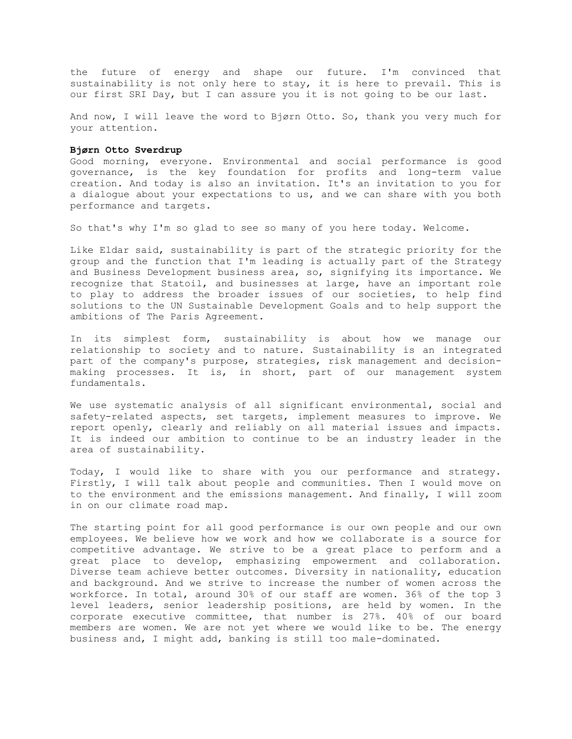the future of energy and shape our future. I'm convinced that sustainability is not only here to stay, it is here to prevail. This is our first SRI Day, but I can assure you it is not going to be our last.

And now, I will leave the word to Bjørn Otto. So, thank you very much for your attention.

## **Bjørn Otto Sverdrup**

Good morning, everyone. Environmental and social performance is good governance, is the key foundation for profits and long-term value creation. And today is also an invitation. It's an invitation to you for a dialogue about your expectations to us, and we can share with you both performance and targets.

So that's why I'm so glad to see so many of you here today. Welcome.

Like Eldar said, sustainability is part of the strategic priority for the group and the function that I'm leading is actually part of the Strategy and Business Development business area, so, signifying its importance. We recognize that Statoil, and businesses at large, have an important role to play to address the broader issues of our societies, to help find solutions to the UN Sustainable Development Goals and to help support the ambitions of The Paris Agreement.

In its simplest form, sustainability is about how we manage our relationship to society and to nature. Sustainability is an integrated part of the company's purpose, strategies, risk management and decisionmaking processes. It is, in short, part of our management system fundamentals.

We use systematic analysis of all significant environmental, social and safety-related aspects, set targets, implement measures to improve. We report openly, clearly and reliably on all material issues and impacts. It is indeed our ambition to continue to be an industry leader in the area of sustainability.

Today, I would like to share with you our performance and strategy. Firstly, I will talk about people and communities. Then I would move on to the environment and the emissions management. And finally, I will zoom in on our climate road map.

The starting point for all good performance is our own people and our own employees. We believe how we work and how we collaborate is a source for competitive advantage. We strive to be a great place to perform and a great place to develop, emphasizing empowerment and collaboration. Diverse team achieve better outcomes. Diversity in nationality, education and background. And we strive to increase the number of women across the workforce. In total, around 30% of our staff are women. 36% of the top 3 level leaders, senior leadership positions, are held by women. In the corporate executive committee, that number is 27%. 40% of our board members are women. We are not yet where we would like to be. The energy business and, I might add, banking is still too male-dominated.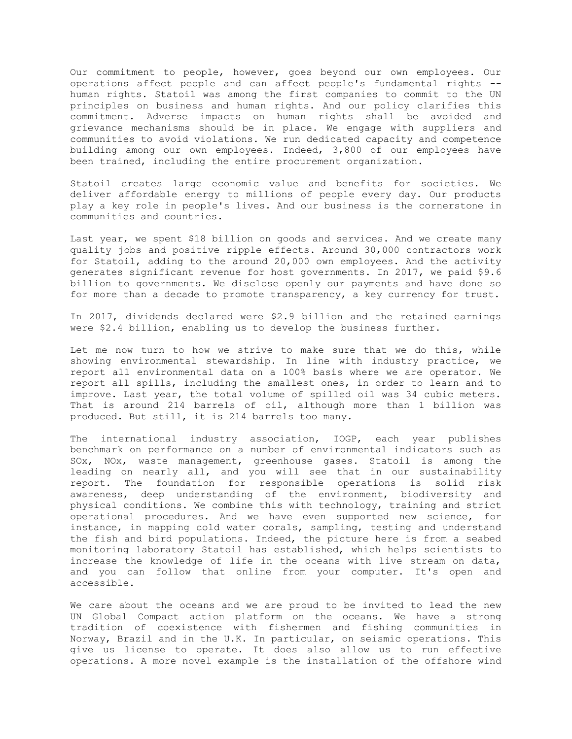Our commitment to people, however, goes beyond our own employees. Our operations affect people and can affect people's fundamental rights - human rights. Statoil was among the first companies to commit to the UN principles on business and human rights. And our policy clarifies this commitment. Adverse impacts on human rights shall be avoided and grievance mechanisms should be in place. We engage with suppliers and communities to avoid violations. We run dedicated capacity and competence building among our own employees. Indeed, 3,800 of our employees have been trained, including the entire procurement organization.

Statoil creates large economic value and benefits for societies. We deliver affordable energy to millions of people every day. Our products play a key role in people's lives. And our business is the cornerstone in communities and countries.

Last year, we spent \$18 billion on goods and services. And we create many quality jobs and positive ripple effects. Around 30,000 contractors work for Statoil, adding to the around 20,000 own employees. And the activity generates significant revenue for host governments. In 2017, we paid \$9.6 billion to governments. We disclose openly our payments and have done so for more than a decade to promote transparency, a key currency for trust.

In 2017, dividends declared were \$2.9 billion and the retained earnings were \$2.4 billion, enabling us to develop the business further.

Let me now turn to how we strive to make sure that we do this, while showing environmental stewardship. In line with industry practice, we report all environmental data on a 100% basis where we are operator. We report all spills, including the smallest ones, in order to learn and to improve. Last year, the total volume of spilled oil was 34 cubic meters. That is around 214 barrels of oil, although more than 1 billion was produced. But still, it is 214 barrels too many.

The international industry association, IOGP, each year publishes benchmark on performance on a number of environmental indicators such as SOx, NOx, waste management, greenhouse gases. Statoil is among the leading on nearly all, and you will see that in our sustainability report. The foundation for responsible operations is solid risk awareness, deep understanding of the environment, biodiversity and physical conditions. We combine this with technology, training and strict operational procedures. And we have even supported new science, for instance, in mapping cold water corals, sampling, testing and understand the fish and bird populations. Indeed, the picture here is from a seabed monitoring laboratory Statoil has established, which helps scientists to increase the knowledge of life in the oceans with live stream on data, and you can follow that online from your computer. It's open and accessible.

We care about the oceans and we are proud to be invited to lead the new UN Global Compact action platform on the oceans. We have a strong tradition of coexistence with fishermen and fishing communities in Norway, Brazil and in the U.K. In particular, on seismic operations. This give us license to operate. It does also allow us to run effective operations. A more novel example is the installation of the offshore wind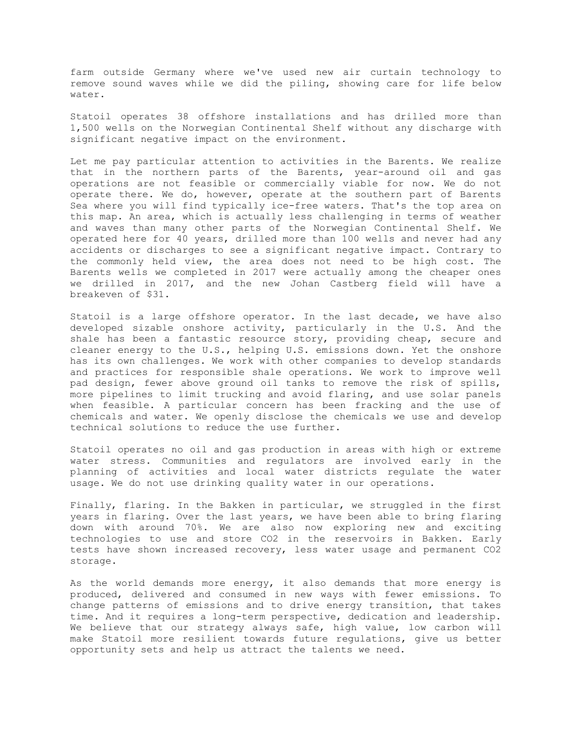farm outside Germany where we've used new air curtain technology to remove sound waves while we did the piling, showing care for life below water.

Statoil operates 38 offshore installations and has drilled more than 1,500 wells on the Norwegian Continental Shelf without any discharge with significant negative impact on the environment.

Let me pay particular attention to activities in the Barents. We realize that in the northern parts of the Barents, year-around oil and gas operations are not feasible or commercially viable for now. We do not operate there. We do, however, operate at the southern part of Barents Sea where you will find typically ice-free waters. That's the top area on this map. An area, which is actually less challenging in terms of weather and waves than many other parts of the Norwegian Continental Shelf. We operated here for 40 years, drilled more than 100 wells and never had any accidents or discharges to see a significant negative impact. Contrary to the commonly held view, the area does not need to be high cost. The Barents wells we completed in 2017 were actually among the cheaper ones we drilled in 2017, and the new Johan Castberg field will have a breakeven of \$31.

Statoil is a large offshore operator. In the last decade, we have also developed sizable onshore activity, particularly in the U.S. And the shale has been a fantastic resource story, providing cheap, secure and cleaner energy to the U.S., helping U.S. emissions down. Yet the onshore has its own challenges. We work with other companies to develop standards and practices for responsible shale operations. We work to improve well pad design, fewer above ground oil tanks to remove the risk of spills, more pipelines to limit trucking and avoid flaring, and use solar panels when feasible. A particular concern has been fracking and the use of chemicals and water. We openly disclose the chemicals we use and develop technical solutions to reduce the use further.

Statoil operates no oil and gas production in areas with high or extreme water stress. Communities and regulators are involved early in the planning of activities and local water districts regulate the water usage. We do not use drinking quality water in our operations.

Finally, flaring. In the Bakken in particular, we struggled in the first years in flaring. Over the last years, we have been able to bring flaring down with around 70%. We are also now exploring new and exciting technologies to use and store CO2 in the reservoirs in Bakken. Early tests have shown increased recovery, less water usage and permanent CO2 storage.

As the world demands more energy, it also demands that more energy is produced, delivered and consumed in new ways with fewer emissions. To change patterns of emissions and to drive energy transition, that takes time. And it requires a long-term perspective, dedication and leadership. We believe that our strategy always safe, high value, low carbon will make Statoil more resilient towards future regulations, give us better opportunity sets and help us attract the talents we need.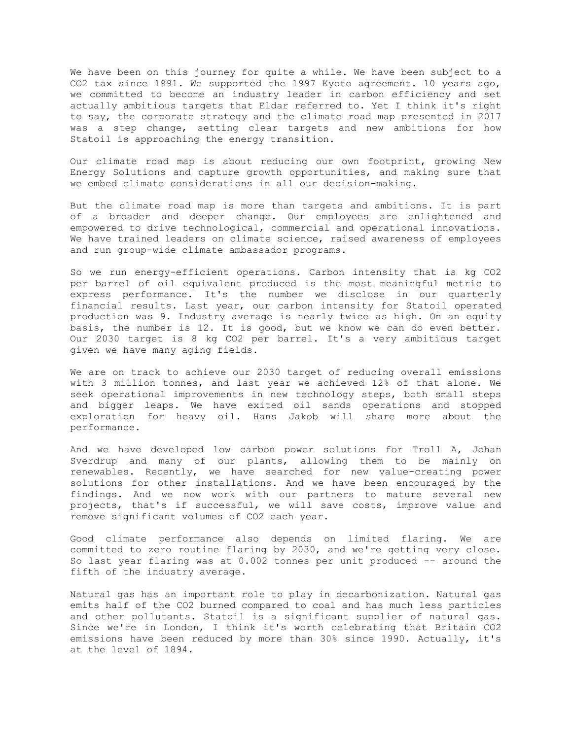We have been on this journey for quite a while. We have been subject to a CO2 tax since 1991. We supported the 1997 Kyoto agreement. 10 years ago, we committed to become an industry leader in carbon efficiency and set actually ambitious targets that Eldar referred to. Yet I think it's right to say, the corporate strategy and the climate road map presented in 2017 was a step change, setting clear targets and new ambitions for how Statoil is approaching the energy transition.

Our climate road map is about reducing our own footprint, growing New Energy Solutions and capture growth opportunities, and making sure that we embed climate considerations in all our decision-making.

But the climate road map is more than targets and ambitions. It is part of a broader and deeper change. Our employees are enlightened and empowered to drive technological, commercial and operational innovations. We have trained leaders on climate science, raised awareness of employees and run group-wide climate ambassador programs.

So we run energy-efficient operations. Carbon intensity that is kg CO2 per barrel of oil equivalent produced is the most meaningful metric to express performance. It's the number we disclose in our quarterly financial results. Last year, our carbon intensity for Statoil operated production was 9. Industry average is nearly twice as high. On an equity basis, the number is 12. It is good, but we know we can do even better. Our 2030 target is 8 kg CO2 per barrel. It's a very ambitious target given we have many aging fields.

We are on track to achieve our 2030 target of reducing overall emissions with 3 million tonnes, and last year we achieved 12% of that alone. We seek operational improvements in new technology steps, both small steps and bigger leaps. We have exited oil sands operations and stopped exploration for heavy oil. Hans Jakob will share more about the performance.

And we have developed low carbon power solutions for Troll A, Johan Sverdrup and many of our plants, allowing them to be mainly on renewables. Recently, we have searched for new value-creating power solutions for other installations. And we have been encouraged by the findings. And we now work with our partners to mature several new projects, that's if successful, we will save costs, improve value and remove significant volumes of CO2 each year.

Good climate performance also depends on limited flaring. We are committed to zero routine flaring by 2030, and we're getting very close. So last year flaring was at 0.002 tonnes per unit produced -- around the fifth of the industry average.

Natural gas has an important role to play in decarbonization. Natural gas emits half of the CO2 burned compared to coal and has much less particles and other pollutants. Statoil is a significant supplier of natural gas. Since we're in London, I think it's worth celebrating that Britain CO2 emissions have been reduced by more than 30% since 1990. Actually, it's at the level of 1894.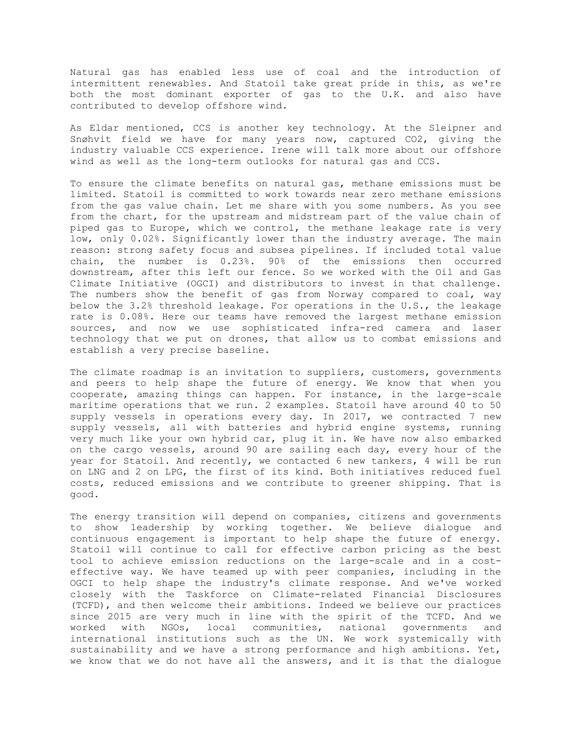Natural gas has enabled less use of coal and the introduction of intermittent renewables. And Statoil take great pride in this, as we're both the most dominant exporter of gas to the U.K. and also have contributed to develop offshore wind.

As Eldar mentioned, CCS is another key technology. At the Sleipner and Snøhvit field we have for many years now, captured CO2, giving the industry valuable CCS experience. Irene will talk more about our offshore wind as well as the long-term outlooks for natural gas and CCS.

To ensure the climate benefits on natural gas, methane emissions must be limited. Statoil is committed to work towards near zero methane emissions from the gas value chain. Let me share with you some numbers. As you see from the chart, for the upstream and midstream part of the value chain of piped gas to Europe, which we control, the methane leakage rate is very low, only 0.02%. Significantly lower than the industry average. The main reason: strong safety focus and subsea pipelines. If included total value chain, the number is 0.23%. 90% of the emissions then occurred downstream, after this left our fence. So we worked with the Oil and Gas Climate Initiative (OGCI) and distributors to invest in that challenge. The numbers show the benefit of gas from Norway compared to coal, way below the 3.2% threshold leakage. For operations in the U.S., the leakage rate is 0.08%. Here our teams have removed the largest methane emission sources, and now we use sophisticated infra-red camera and laser technology that we put on drones, that allow us to combat emissions and establish a very precise baseline.

The climate roadmap is an invitation to suppliers, customers, governments and peers to help shape the future of energy. We know that when you cooperate, amazing things can happen. For instance, in the large-scale maritime operations that we run. 2 examples. Statoil have around 40 to 50 supply vessels in operations every day. In 2017, we contracted 7 new supply vessels, all with batteries and hybrid engine systems, running very much like your own hybrid car, plug it in. We have now also embarked on the cargo vessels, around 90 are sailing each day, every hour of the year for Statoil. And recently, we contacted 6 new tankers, 4 will be run on LNG and 2 on LPG, the first of its kind. Both initiatives reduced fuel costs, reduced emissions and we contribute to greener shipping. That is good.

The energy transition will depend on companies, citizens and governments to show leadership by working together. We believe dialogue and continuous engagement is important to help shape the future of energy. Statoil will continue to call for effective carbon pricing as the best tool to achieve emission reductions on the large-scale and in a costeffective way. We have teamed up with peer companies, including in the OGCI to help shape the industry's climate response. And we've worked closely with the Taskforce on Climate-related Financial Disclosures (TCFD), and then welcome their ambitions. Indeed we believe our practices since 2015 are very much in line with the spirit of the TCFD. And we worked with NGOs, local communities, national governments and international institutions such as the UN. We work systemically with sustainability and we have a strong performance and high ambitions. Yet, we know that we do not have all the answers, and it is that the dialogue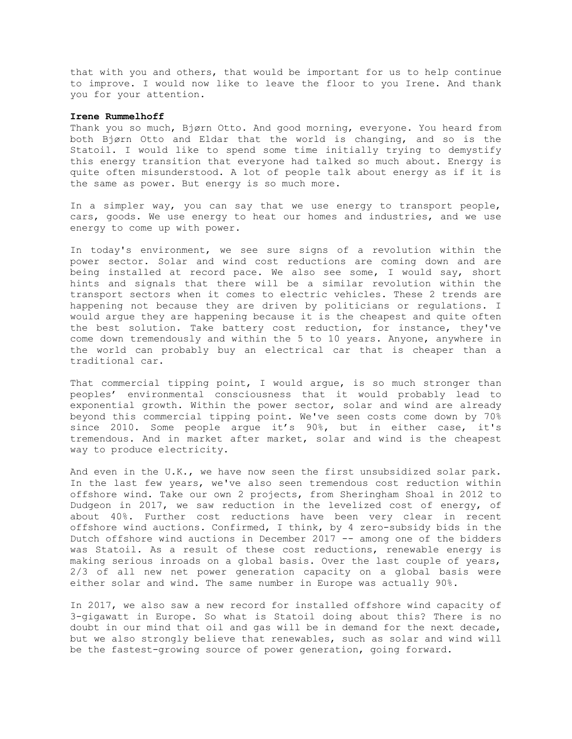that with you and others, that would be important for us to help continue to improve. I would now like to leave the floor to you Irene. And thank you for your attention.

### **Irene Rummelhoff**

Thank you so much, Bjørn Otto. And good morning, everyone. You heard from both Bjørn Otto and Eldar that the world is changing, and so is the Statoil. I would like to spend some time initially trying to demystify this energy transition that everyone had talked so much about. Energy is quite often misunderstood. A lot of people talk about energy as if it is the same as power. But energy is so much more.

In a simpler way, you can say that we use energy to transport people, cars, goods. We use energy to heat our homes and industries, and we use energy to come up with power.

In today's environment, we see sure signs of a revolution within the power sector. Solar and wind cost reductions are coming down and are being installed at record pace. We also see some, I would say, short hints and signals that there will be a similar revolution within the transport sectors when it comes to electric vehicles. These 2 trends are happening not because they are driven by politicians or regulations. I would argue they are happening because it is the cheapest and quite often the best solution. Take battery cost reduction, for instance, they've come down tremendously and within the 5 to 10 years. Anyone, anywhere in the world can probably buy an electrical car that is cheaper than a traditional car.

That commercial tipping point, I would argue, is so much stronger than peoples' environmental consciousness that it would probably lead to exponential growth. Within the power sector, solar and wind are already beyond this commercial tipping point. We've seen costs come down by 70% since 2010. Some people argue it's 90%, but in either case, it's tremendous. And in market after market, solar and wind is the cheapest way to produce electricity.

And even in the U.K., we have now seen the first unsubsidized solar park. In the last few years, we've also seen tremendous cost reduction within offshore wind. Take our own 2 projects, from Sheringham Shoal in 2012 to Dudgeon in 2017, we saw reduction in the levelized cost of energy, of about 40%. Further cost reductions have been very clear in recent offshore wind auctions. Confirmed, I think, by 4 zero-subsidy bids in the Dutch offshore wind auctions in December 2017 -- among one of the bidders was Statoil. As a result of these cost reductions, renewable energy is making serious inroads on a global basis. Over the last couple of years, 2/3 of all new net power generation capacity on a global basis were either solar and wind. The same number in Europe was actually 90%.

In 2017, we also saw a new record for installed offshore wind capacity of 3-gigawatt in Europe. So what is Statoil doing about this? There is no doubt in our mind that oil and gas will be in demand for the next decade, but we also strongly believe that renewables, such as solar and wind will be the fastest-growing source of power generation, going forward.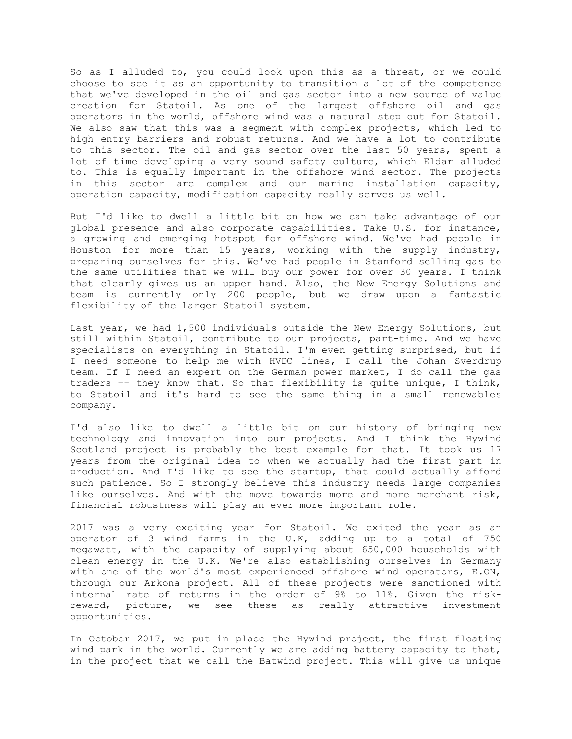So as I alluded to, you could look upon this as a threat, or we could choose to see it as an opportunity to transition a lot of the competence that we've developed in the oil and gas sector into a new source of value creation for Statoil. As one of the largest offshore oil and gas operators in the world, offshore wind was a natural step out for Statoil. We also saw that this was a segment with complex projects, which led to high entry barriers and robust returns. And we have a lot to contribute to this sector. The oil and gas sector over the last 50 years, spent a lot of time developing a very sound safety culture, which Eldar alluded to. This is equally important in the offshore wind sector. The projects in this sector are complex and our marine installation capacity, operation capacity, modification capacity really serves us well.

But I'd like to dwell a little bit on how we can take advantage of our global presence and also corporate capabilities. Take U.S. for instance, a growing and emerging hotspot for offshore wind. We've had people in Houston for more than 15 years, working with the supply industry, preparing ourselves for this. We've had people in Stanford selling gas to the same utilities that we will buy our power for over 30 years. I think that clearly gives us an upper hand. Also, the New Energy Solutions and team is currently only 200 people, but we draw upon a fantastic flexibility of the larger Statoil system.

Last year, we had 1,500 individuals outside the New Energy Solutions, but still within Statoil, contribute to our projects, part-time. And we have specialists on everything in Statoil. I'm even getting surprised, but if I need someone to help me with HVDC lines, I call the Johan Sverdrup team. If I need an expert on the German power market, I do call the gas traders -- they know that. So that flexibility is quite unique, I think, to Statoil and it's hard to see the same thing in a small renewables company.

I'd also like to dwell a little bit on our history of bringing new technology and innovation into our projects. And I think the Hywind Scotland project is probably the best example for that. It took us 17 years from the original idea to when we actually had the first part in production. And I'd like to see the startup, that could actually afford such patience. So I strongly believe this industry needs large companies like ourselves. And with the move towards more and more merchant risk, financial robustness will play an ever more important role.

2017 was a very exciting year for Statoil. We exited the year as an operator of 3 wind farms in the U.K, adding up to a total of 750 megawatt, with the capacity of supplying about 650,000 households with clean energy in the U.K. We're also establishing ourselves in Germany with one of the world's most experienced offshore wind operators, E.ON, through our Arkona project. All of these projects were sanctioned with internal rate of returns in the order of 9% to 11%. Given the riskreward, picture, we see these as really attractive investment opportunities.

In October 2017, we put in place the Hywind project, the first floating wind park in the world. Currently we are adding battery capacity to that, in the project that we call the Batwind project. This will give us unique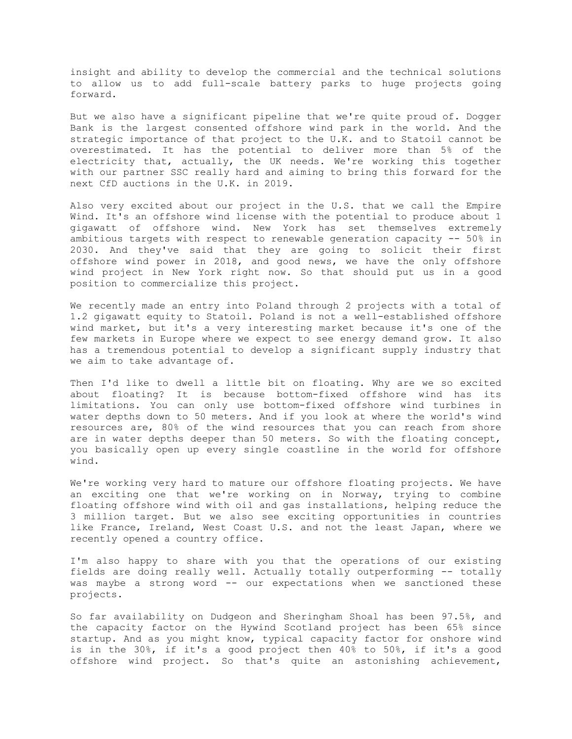insight and ability to develop the commercial and the technical solutions to allow us to add full-scale battery parks to huge projects going forward.

But we also have a significant pipeline that we're quite proud of. Dogger Bank is the largest consented offshore wind park in the world. And the strategic importance of that project to the U.K. and to Statoil cannot be overestimated. It has the potential to deliver more than 5% of the electricity that, actually, the UK needs. We're working this together with our partner SSC really hard and aiming to bring this forward for the next CfD auctions in the U.K. in 2019.

Also very excited about our project in the U.S. that we call the Empire Wind. It's an offshore wind license with the potential to produce about 1 gigawatt of offshore wind. New York has set themselves extremely ambitious targets with respect to renewable generation capacity -- 50% in 2030. And they've said that they are going to solicit their first offshore wind power in 2018, and good news, we have the only offshore wind project in New York right now. So that should put us in a good position to commercialize this project.

We recently made an entry into Poland through 2 projects with a total of 1.2 gigawatt equity to Statoil. Poland is not a well-established offshore wind market, but it's a very interesting market because it's one of the few markets in Europe where we expect to see energy demand grow. It also has a tremendous potential to develop a significant supply industry that we aim to take advantage of.

Then I'd like to dwell a little bit on floating. Why are we so excited about floating? It is because bottom-fixed offshore wind has its limitations. You can only use bottom-fixed offshore wind turbines in water depths down to 50 meters. And if you look at where the world's wind resources are, 80% of the wind resources that you can reach from shore are in water depths deeper than 50 meters. So with the floating concept, you basically open up every single coastline in the world for offshore wind.

We're working very hard to mature our offshore floating projects. We have an exciting one that we're working on in Norway, trying to combine floating offshore wind with oil and gas installations, helping reduce the 3 million target. But we also see exciting opportunities in countries like France, Ireland, West Coast U.S. and not the least Japan, where we recently opened a country office.

I'm also happy to share with you that the operations of our existing fields are doing really well. Actually totally outperforming -- totally was maybe a strong word -- our expectations when we sanctioned these projects.

So far availability on Dudgeon and Sheringham Shoal has been 97.5%, and the capacity factor on the Hywind Scotland project has been 65% since startup. And as you might know, typical capacity factor for onshore wind is in the 30%, if it's a good project then 40% to 50%, if it's a good offshore wind project. So that's quite an astonishing achievement,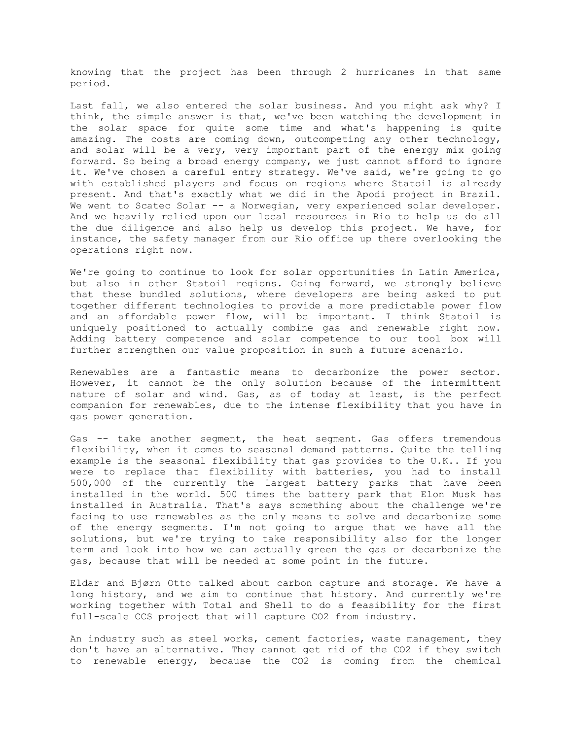knowing that the project has been through 2 hurricanes in that same period.

Last fall, we also entered the solar business. And you might ask why? I think, the simple answer is that, we've been watching the development in the solar space for quite some time and what's happening is quite amazing. The costs are coming down, outcompeting any other technology, and solar will be a very, very important part of the energy mix going forward. So being a broad energy company, we just cannot afford to ignore it. We've chosen a careful entry strategy. We've said, we're going to go with established players and focus on regions where Statoil is already present. And that's exactly what we did in the Apodi project in Brazil. We went to Scatec Solar -- a Norwegian, very experienced solar developer. And we heavily relied upon our local resources in Rio to help us do all the due diligence and also help us develop this project. We have, for instance, the safety manager from our Rio office up there overlooking the operations right now.

We're going to continue to look for solar opportunities in Latin America, but also in other Statoil regions. Going forward, we strongly believe that these bundled solutions, where developers are being asked to put together different technologies to provide a more predictable power flow and an affordable power flow, will be important. I think Statoil is uniquely positioned to actually combine gas and renewable right now. Adding battery competence and solar competence to our tool box will further strengthen our value proposition in such a future scenario.

Renewables are a fantastic means to decarbonize the power sector. However, it cannot be the only solution because of the intermittent nature of solar and wind. Gas, as of today at least, is the perfect companion for renewables, due to the intense flexibility that you have in gas power generation.

Gas -- take another segment, the heat segment. Gas offers tremendous flexibility, when it comes to seasonal demand patterns. Quite the telling example is the seasonal flexibility that gas provides to the U.K.. If you were to replace that flexibility with batteries, you had to install 500,000 of the currently the largest battery parks that have been installed in the world. 500 times the battery park that Elon Musk has installed in Australia. That's says something about the challenge we're facing to use renewables as the only means to solve and decarbonize some of the energy segments. I'm not going to argue that we have all the solutions, but we're trying to take responsibility also for the longer term and look into how we can actually green the gas or decarbonize the gas, because that will be needed at some point in the future.

Eldar and Bjørn Otto talked about carbon capture and storage. We have a long history, and we aim to continue that history. And currently we're working together with Total and Shell to do a feasibility for the first full-scale CCS project that will capture CO2 from industry.

An industry such as steel works, cement factories, waste management, they don't have an alternative. They cannot get rid of the CO2 if they switch to renewable energy, because the CO2 is coming from the chemical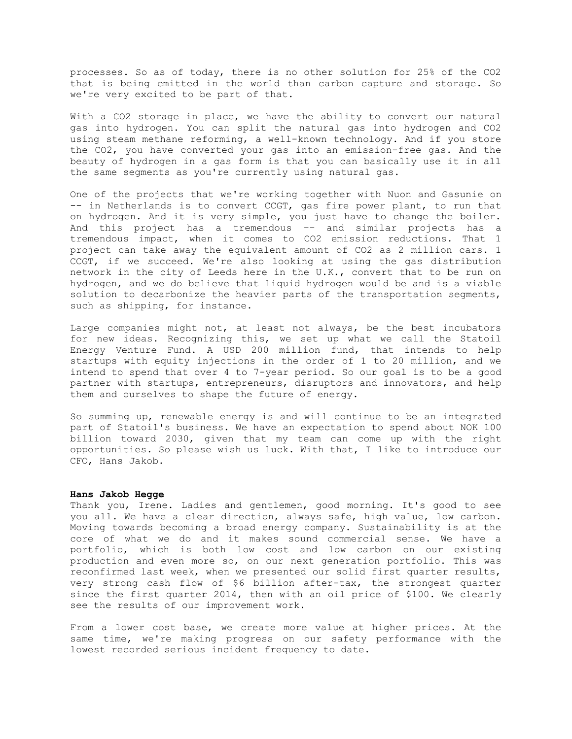processes. So as of today, there is no other solution for 25% of the CO2 that is being emitted in the world than carbon capture and storage. So we're very excited to be part of that.

With a CO2 storage in place, we have the ability to convert our natural gas into hydrogen. You can split the natural gas into hydrogen and CO2 using steam methane reforming, a well-known technology. And if you store the CO2, you have converted your gas into an emission-free gas. And the beauty of hydrogen in a gas form is that you can basically use it in all the same segments as you're currently using natural gas.

One of the projects that we're working together with Nuon and Gasunie on -- in Netherlands is to convert CCGT, gas fire power plant, to run that on hydrogen. And it is very simple, you just have to change the boiler. And this project has a tremendous -- and similar projects has a tremendous impact, when it comes to CO2 emission reductions. That 1 project can take away the equivalent amount of CO2 as 2 million cars. 1 CCGT, if we succeed. We're also looking at using the gas distribution network in the city of Leeds here in the U.K., convert that to be run on hydrogen, and we do believe that liquid hydrogen would be and is a viable solution to decarbonize the heavier parts of the transportation segments, such as shipping, for instance.

Large companies might not, at least not always, be the best incubators for new ideas. Recognizing this, we set up what we call the Statoil Energy Venture Fund. A USD 200 million fund, that intends to help startups with equity injections in the order of 1 to 20 million, and we intend to spend that over 4 to 7-year period. So our goal is to be a good partner with startups, entrepreneurs, disruptors and innovators, and help them and ourselves to shape the future of energy.

So summing up, renewable energy is and will continue to be an integrated part of Statoil's business. We have an expectation to spend about NOK 100 billion toward 2030, given that my team can come up with the right opportunities. So please wish us luck. With that, I like to introduce our CFO, Hans Jakob.

#### **Hans Jakob Hegge**

Thank you, Irene. Ladies and gentlemen, good morning. It's good to see you all. We have a clear direction, always safe, high value, low carbon. Moving towards becoming a broad energy company. Sustainability is at the core of what we do and it makes sound commercial sense. We have a portfolio, which is both low cost and low carbon on our existing production and even more so, on our next generation portfolio. This was reconfirmed last week, when we presented our solid first quarter results, very strong cash flow of \$6 billion after-tax, the strongest quarter since the first quarter 2014, then with an oil price of \$100. We clearly see the results of our improvement work.

From a lower cost base, we create more value at higher prices. At the same time, we're making progress on our safety performance with the lowest recorded serious incident frequency to date.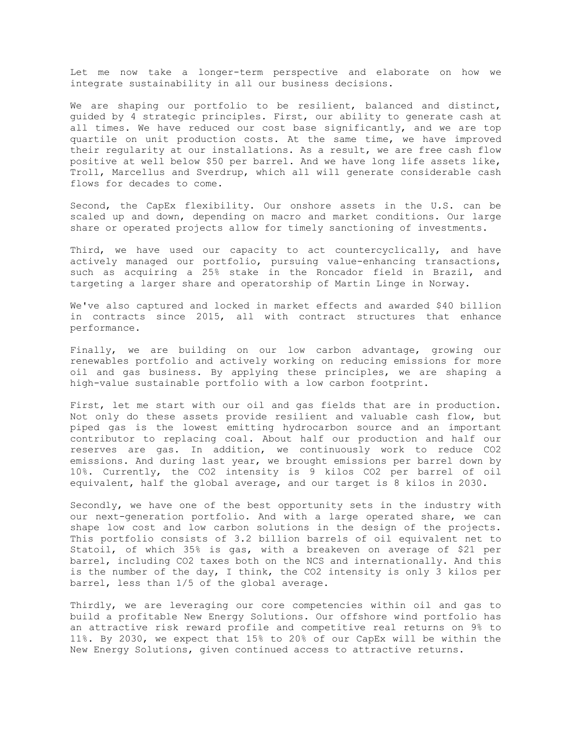Let me now take a longer-term perspective and elaborate on how we integrate sustainability in all our business decisions.

We are shaping our portfolio to be resilient, balanced and distinct, guided by 4 strategic principles. First, our ability to generate cash at all times. We have reduced our cost base significantly, and we are top quartile on unit production costs. At the same time, we have improved their regularity at our installations. As a result, we are free cash flow positive at well below \$50 per barrel. And we have long life assets like, Troll, Marcellus and Sverdrup, which all will generate considerable cash flows for decades to come.

Second, the CapEx flexibility. Our onshore assets in the U.S. can be scaled up and down, depending on macro and market conditions. Our large share or operated projects allow for timely sanctioning of investments.

Third, we have used our capacity to act countercyclically, and have actively managed our portfolio, pursuing value-enhancing transactions, such as acquiring a 25% stake in the Roncador field in Brazil, and targeting a larger share and operatorship of Martin Linge in Norway.

We've also captured and locked in market effects and awarded \$40 billion in contracts since 2015, all with contract structures that enhance performance.

Finally, we are building on our low carbon advantage, growing our renewables portfolio and actively working on reducing emissions for more oil and gas business. By applying these principles, we are shaping a high-value sustainable portfolio with a low carbon footprint.

First, let me start with our oil and gas fields that are in production. Not only do these assets provide resilient and valuable cash flow, but piped gas is the lowest emitting hydrocarbon source and an important contributor to replacing coal. About half our production and half our reserves are gas. In addition, we continuously work to reduce CO2 emissions. And during last year, we brought emissions per barrel down by 10%. Currently, the CO2 intensity is 9 kilos CO2 per barrel of oil equivalent, half the global average, and our target is 8 kilos in 2030.

Secondly, we have one of the best opportunity sets in the industry with our next-generation portfolio. And with a large operated share, we can shape low cost and low carbon solutions in the design of the projects. This portfolio consists of 3.2 billion barrels of oil equivalent net to Statoil, of which 35% is gas, with a breakeven on average of \$21 per barrel, including CO2 taxes both on the NCS and internationally. And this is the number of the day, I think, the CO2 intensity is only 3 kilos per barrel, less than 1/5 of the global average.

Thirdly, we are leveraging our core competencies within oil and gas to build a profitable New Energy Solutions. Our offshore wind portfolio has an attractive risk reward profile and competitive real returns on 9% to 11%. By 2030, we expect that 15% to 20% of our CapEx will be within the New Energy Solutions, given continued access to attractive returns.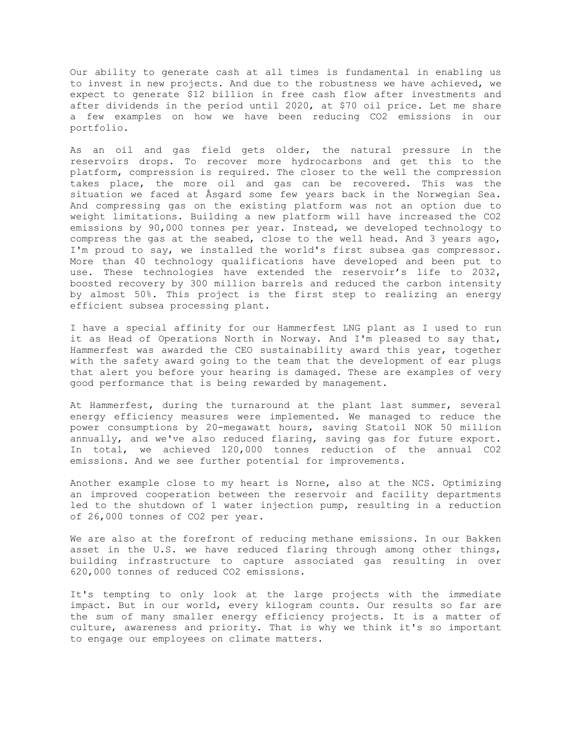Our ability to generate cash at all times is fundamental in enabling us to invest in new projects. And due to the robustness we have achieved, we expect to generate \$12 billion in free cash flow after investments and after dividends in the period until 2020, at \$70 oil price. Let me share a few examples on how we have been reducing CO2 emissions in our portfolio.

As an oil and gas field gets older, the natural pressure in the reservoirs drops. To recover more hydrocarbons and get this to the platform, compression is required. The closer to the well the compression takes place, the more oil and gas can be recovered. This was the situation we faced at Åsgard some few years back in the Norwegian Sea. And compressing gas on the existing platform was not an option due to weight limitations. Building a new platform will have increased the CO2 emissions by 90,000 tonnes per year. Instead, we developed technology to compress the gas at the seabed, close to the well head. And 3 years ago, I'm proud to say, we installed the world's first subsea gas compressor. More than 40 technology qualifications have developed and been put to use. These technologies have extended the reservoir's life to 2032, boosted recovery by 300 million barrels and reduced the carbon intensity by almost 50%. This project is the first step to realizing an energy efficient subsea processing plant.

I have a special affinity for our Hammerfest LNG plant as I used to run it as Head of Operations North in Norway. And I'm pleased to say that, Hammerfest was awarded the CEO sustainability award this year, together with the safety award going to the team that the development of ear plugs that alert you before your hearing is damaged. These are examples of very good performance that is being rewarded by management.

At Hammerfest, during the turnaround at the plant last summer, several energy efficiency measures were implemented. We managed to reduce the power consumptions by 20-megawatt hours, saving Statoil NOK 50 million annually, and we've also reduced flaring, saving gas for future export. In total, we achieved 120,000 tonnes reduction of the annual CO2 emissions. And we see further potential for improvements.

Another example close to my heart is Norne, also at the NCS. Optimizing an improved cooperation between the reservoir and facility departments led to the shutdown of 1 water injection pump, resulting in a reduction of 26,000 tonnes of CO2 per year.

We are also at the forefront of reducing methane emissions. In our Bakken asset in the U.S. we have reduced flaring through among other things, building infrastructure to capture associated gas resulting in over 620,000 tonnes of reduced CO2 emissions.

It's tempting to only look at the large projects with the immediate impact. But in our world, every kilogram counts. Our results so far are the sum of many smaller energy efficiency projects. It is a matter of culture, awareness and priority. That is why we think it's so important to engage our employees on climate matters.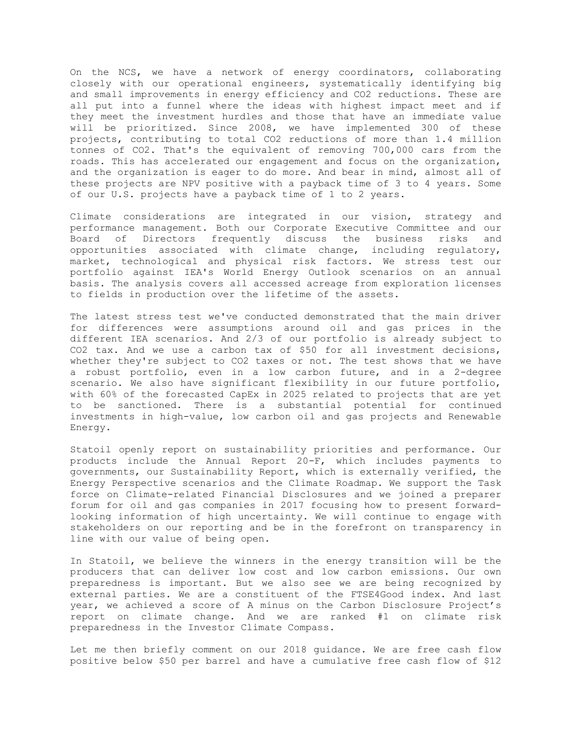On the NCS, we have a network of energy coordinators, collaborating closely with our operational engineers, systematically identifying big and small improvements in energy efficiency and CO2 reductions. These are all put into a funnel where the ideas with highest impact meet and if they meet the investment hurdles and those that have an immediate value will be prioritized. Since 2008, we have implemented 300 of these projects, contributing to total CO2 reductions of more than 1.4 million tonnes of CO2. That's the equivalent of removing 700,000 cars from the roads. This has accelerated our engagement and focus on the organization, and the organization is eager to do more. And bear in mind, almost all of these projects are NPV positive with a payback time of 3 to 4 years. Some of our U.S. projects have a payback time of 1 to 2 years.

Climate considerations are integrated in our vision, strategy and performance management. Both our Corporate Executive Committee and our Board of Directors frequently discuss the business risks and opportunities associated with climate change, including regulatory, market, technological and physical risk factors. We stress test our portfolio against IEA's World Energy Outlook scenarios on an annual basis. The analysis covers all accessed acreage from exploration licenses to fields in production over the lifetime of the assets.

The latest stress test we've conducted demonstrated that the main driver for differences were assumptions around oil and gas prices in the different IEA scenarios. And 2/3 of our portfolio is already subject to CO2 tax. And we use a carbon tax of \$50 for all investment decisions, whether they're subject to CO2 taxes or not. The test shows that we have a robust portfolio, even in a low carbon future, and in a 2-degree scenario. We also have significant flexibility in our future portfolio, with 60% of the forecasted CapEx in 2025 related to projects that are yet to be sanctioned. There is a substantial potential for continued investments in high-value, low carbon oil and gas projects and Renewable Energy.

Statoil openly report on sustainability priorities and performance. Our products include the Annual Report 20-F, which includes payments to governments, our Sustainability Report, which is externally verified, the Energy Perspective scenarios and the Climate Roadmap. We support the Task force on Climate-related Financial Disclosures and we joined a preparer forum for oil and gas companies in 2017 focusing how to present forwardlooking information of high uncertainty. We will continue to engage with stakeholders on our reporting and be in the forefront on transparency in line with our value of being open.

In Statoil, we believe the winners in the energy transition will be the producers that can deliver low cost and low carbon emissions. Our own preparedness is important. But we also see we are being recognized by external parties. We are a constituent of the FTSE4Good index. And last year, we achieved a score of A minus on the Carbon Disclosure Project's report on climate change. And we are ranked #1 on climate risk preparedness in the Investor Climate Compass.

Let me then briefly comment on our 2018 guidance. We are free cash flow positive below \$50 per barrel and have a cumulative free cash flow of \$12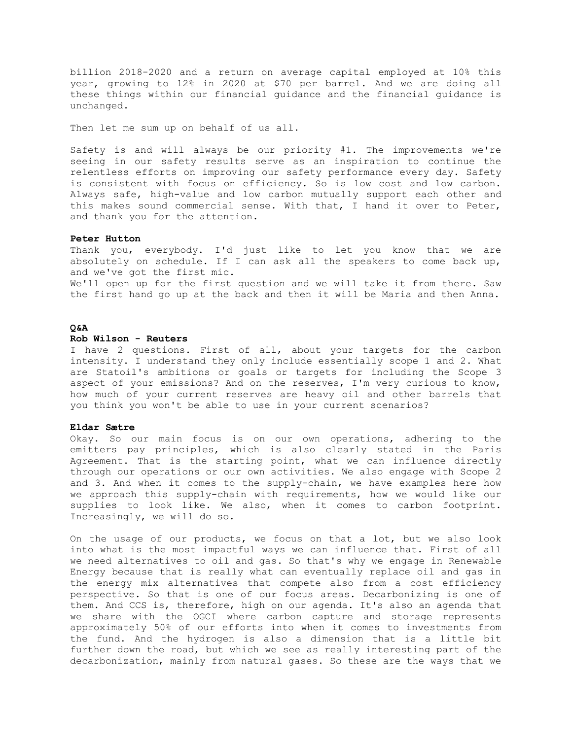billion 2018-2020 and a return on average capital employed at 10% this year, growing to 12% in 2020 at \$70 per barrel. And we are doing all these things within our financial guidance and the financial guidance is unchanged.

Then let me sum up on behalf of us all.

Safety is and will always be our priority #1. The improvements we're seeing in our safety results serve as an inspiration to continue the relentless efforts on improving our safety performance every day. Safety is consistent with focus on efficiency. So is low cost and low carbon. Always safe, high-value and low carbon mutually support each other and this makes sound commercial sense. With that, I hand it over to Peter, and thank you for the attention.

## **Peter Hutton**

Thank you, everybody. I'd just like to let you know that we are absolutely on schedule. If I can ask all the speakers to come back up, and we've got the first mic.

We'll open up for the first question and we will take it from there. Saw the first hand go up at the back and then it will be Maria and then Anna.

# **Q&A**

# **Rob Wilson - Reuters**

I have 2 questions. First of all, about your targets for the carbon intensity. I understand they only include essentially scope 1 and 2. What are Statoil's ambitions or goals or targets for including the Scope 3 aspect of your emissions? And on the reserves, I'm very curious to know, how much of your current reserves are heavy oil and other barrels that you think you won't be able to use in your current scenarios?

### **Eldar Sætre**

Okay. So our main focus is on our own operations, adhering to the emitters pay principles, which is also clearly stated in the Paris Agreement. That is the starting point, what we can influence directly through our operations or our own activities. We also engage with Scope 2 and 3. And when it comes to the supply-chain, we have examples here how we approach this supply-chain with requirements, how we would like our supplies to look like. We also, when it comes to carbon footprint. Increasingly, we will do so.

On the usage of our products, we focus on that a lot, but we also look into what is the most impactful ways we can influence that. First of all we need alternatives to oil and gas. So that's why we engage in Renewable Energy because that is really what can eventually replace oil and gas in the energy mix alternatives that compete also from a cost efficiency perspective. So that is one of our focus areas. Decarbonizing is one of them. And CCS is, therefore, high on our agenda. It's also an agenda that we share with the OGCI where carbon capture and storage represents approximately 50% of our efforts into when it comes to investments from the fund. And the hydrogen is also a dimension that is a little bit further down the road, but which we see as really interesting part of the decarbonization, mainly from natural gases. So these are the ways that we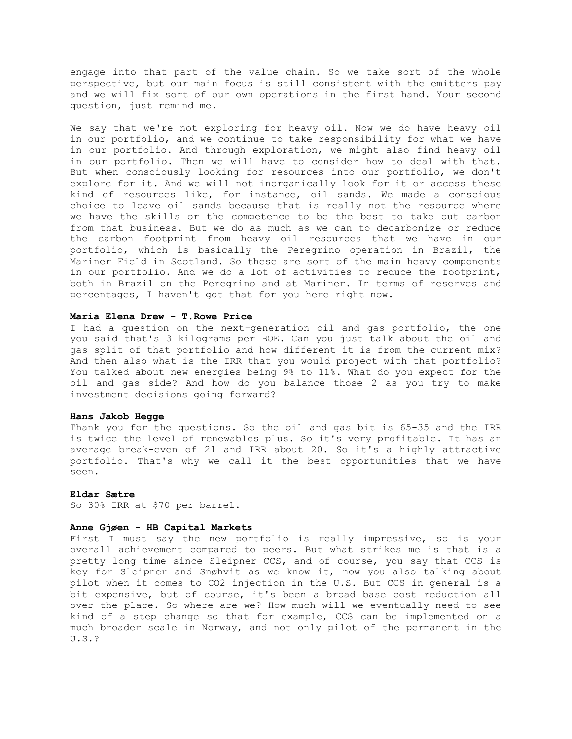engage into that part of the value chain. So we take sort of the whole perspective, but our main focus is still consistent with the emitters pay and we will fix sort of our own operations in the first hand. Your second question, just remind me.

We say that we're not exploring for heavy oil. Now we do have heavy oil in our portfolio, and we continue to take responsibility for what we have in our portfolio. And through exploration, we might also find heavy oil in our portfolio. Then we will have to consider how to deal with that. But when consciously looking for resources into our portfolio, we don't explore for it. And we will not inorganically look for it or access these kind of resources like, for instance, oil sands. We made a conscious choice to leave oil sands because that is really not the resource where we have the skills or the competence to be the best to take out carbon from that business. But we do as much as we can to decarbonize or reduce the carbon footprint from heavy oil resources that we have in our portfolio, which is basically the Peregrino operation in Brazil, the Mariner Field in Scotland. So these are sort of the main heavy components in our portfolio. And we do a lot of activities to reduce the footprint, both in Brazil on the Peregrino and at Mariner. In terms of reserves and percentages, I haven't got that for you here right now.

## **Maria Elena Drew - T.Rowe Price**

I had a question on the next-generation oil and gas portfolio, the one you said that's 3 kilograms per BOE. Can you just talk about the oil and gas split of that portfolio and how different it is from the current mix? And then also what is the IRR that you would project with that portfolio? You talked about new energies being 9% to 11%. What do you expect for the oil and gas side? And how do you balance those 2 as you try to make investment decisions going forward?

## **Hans Jakob Hegge**

Thank you for the questions. So the oil and gas bit is 65-35 and the IRR is twice the level of renewables plus. So it's very profitable. It has an average break-even of 21 and IRR about 20. So it's a highly attractive portfolio. That's why we call it the best opportunities that we have seen.

## **Eldar Sætre**

So 30% IRR at \$70 per barrel.

## **Anne Gjøen - HB Capital Markets**

First I must say the new portfolio is really impressive, so is your overall achievement compared to peers. But what strikes me is that is a pretty long time since Sleipner CCS, and of course, you say that CCS is key for Sleipner and Snøhvit as we know it, now you also talking about pilot when it comes to CO2 injection in the U.S. But CCS in general is a bit expensive, but of course, it's been a broad base cost reduction all over the place. So where are we? How much will we eventually need to see kind of a step change so that for example, CCS can be implemented on a much broader scale in Norway, and not only pilot of the permanent in the U.S.?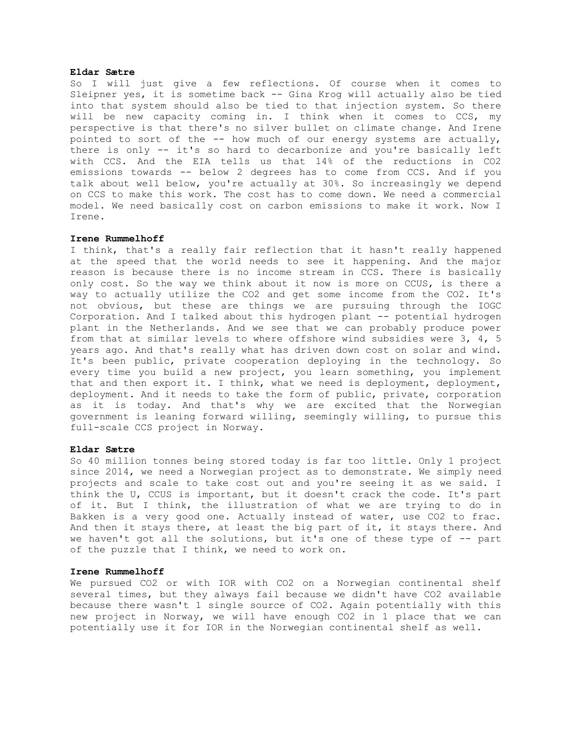## **Eldar Sætre**

So I will just give a few reflections. Of course when it comes to Sleipner yes, it is sometime back -- Gina Krog will actually also be tied into that system should also be tied to that injection system. So there will be new capacity coming in. I think when it comes to CCS, my perspective is that there's no silver bullet on climate change. And Irene pointed to sort of the  $-$ - how much of our energy systems are actually, there is only -- it's so hard to decarbonize and you're basically left with CCS. And the EIA tells us that 14% of the reductions in CO2 emissions towards -- below 2 degrees has to come from CCS. And if you talk about well below, you're actually at 30%. So increasingly we depend on CCS to make this work. The cost has to come down. We need a commercial model. We need basically cost on carbon emissions to make it work. Now I Irene.

#### **Irene Rummelhoff**

I think, that's a really fair reflection that it hasn't really happened at the speed that the world needs to see it happening. And the major reason is because there is no income stream in CCS. There is basically only cost. So the way we think about it now is more on CCUS, is there a way to actually utilize the CO2 and get some income from the CO2. It's not obvious, but these are things we are pursuing through the IOGC Corporation. And I talked about this hydrogen plant -- potential hydrogen plant in the Netherlands. And we see that we can probably produce power from that at similar levels to where offshore wind subsidies were 3, 4, 5 years ago. And that's really what has driven down cost on solar and wind. It's been public, private cooperation deploying in the technology. So every time you build a new project, you learn something, you implement that and then export it. I think, what we need is deployment, deployment, deployment. And it needs to take the form of public, private, corporation as it is today. And that's why we are excited that the Norwegian government is leaning forward willing, seemingly willing, to pursue this full-scale CCS project in Norway.

### **Eldar Sætre**

So 40 million tonnes being stored today is far too little. Only 1 project since 2014, we need a Norwegian project as to demonstrate. We simply need projects and scale to take cost out and you're seeing it as we said. I think the U, CCUS is important, but it doesn't crack the code. It's part of it. But I think, the illustration of what we are trying to do in Bakken is a very good one. Actually instead of water, use CO2 to frac. And then it stays there, at least the big part of it, it stays there. And we haven't got all the solutions, but it's one of these type of -- part of the puzzle that I think, we need to work on.

#### **Irene Rummelhoff**

We pursued CO2 or with IOR with CO2 on a Norwegian continental shelf several times, but they always fail because we didn't have CO2 available because there wasn't 1 single source of CO2. Again potentially with this new project in Norway, we will have enough CO2 in 1 place that we can potentially use it for IOR in the Norwegian continental shelf as well.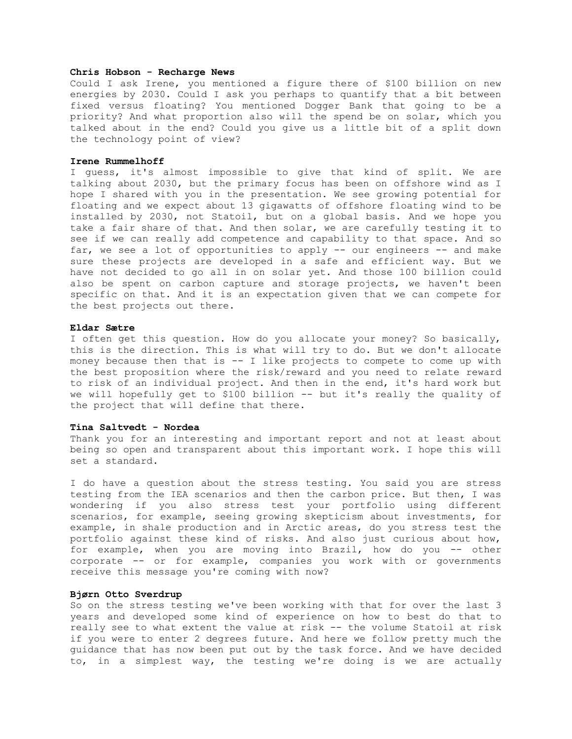## **Chris Hobson - Recharge News**

Could I ask Irene, you mentioned a figure there of \$100 billion on new energies by 2030. Could I ask you perhaps to quantify that a bit between fixed versus floating? You mentioned Dogger Bank that going to be a priority? And what proportion also will the spend be on solar, which you talked about in the end? Could you give us a little bit of a split down the technology point of view?

#### **Irene Rummelhoff**

I guess, it's almost impossible to give that kind of split. We are talking about 2030, but the primary focus has been on offshore wind as I hope I shared with you in the presentation. We see growing potential for floating and we expect about 13 gigawatts of offshore floating wind to be installed by 2030, not Statoil, but on a global basis. And we hope you take a fair share of that. And then solar, we are carefully testing it to see if we can really add competence and capability to that space. And so far, we see a lot of opportunities to apply -- our engineers -- and make sure these projects are developed in a safe and efficient way. But we have not decided to go all in on solar yet. And those 100 billion could also be spent on carbon capture and storage projects, we haven't been specific on that. And it is an expectation given that we can compete for the best projects out there.

## **Eldar Sætre**

I often get this question. How do you allocate your money? So basically, this is the direction. This is what will try to do. But we don't allocate money because then that is -- I like projects to compete to come up with the best proposition where the risk/reward and you need to relate reward to risk of an individual project. And then in the end, it's hard work but we will hopefully get to \$100 billion -- but it's really the quality of the project that will define that there.

### **Tina Saltvedt - Nordea**

Thank you for an interesting and important report and not at least about being so open and transparent about this important work. I hope this will set a standard.

I do have a question about the stress testing. You said you are stress testing from the IEA scenarios and then the carbon price. But then, I was wondering if you also stress test your portfolio using different scenarios, for example, seeing growing skepticism about investments, for example, in shale production and in Arctic areas, do you stress test the portfolio against these kind of risks. And also just curious about how, for example, when you are moving into Brazil, how do you -- other corporate -- or for example, companies you work with or governments receive this message you're coming with now?

## **Bjørn Otto Sverdrup**

So on the stress testing we've been working with that for over the last 3 years and developed some kind of experience on how to best do that to really see to what extent the value at risk -- the volume Statoil at risk if you were to enter 2 degrees future. And here we follow pretty much the guidance that has now been put out by the task force. And we have decided to, in a simplest way, the testing we're doing is we are actually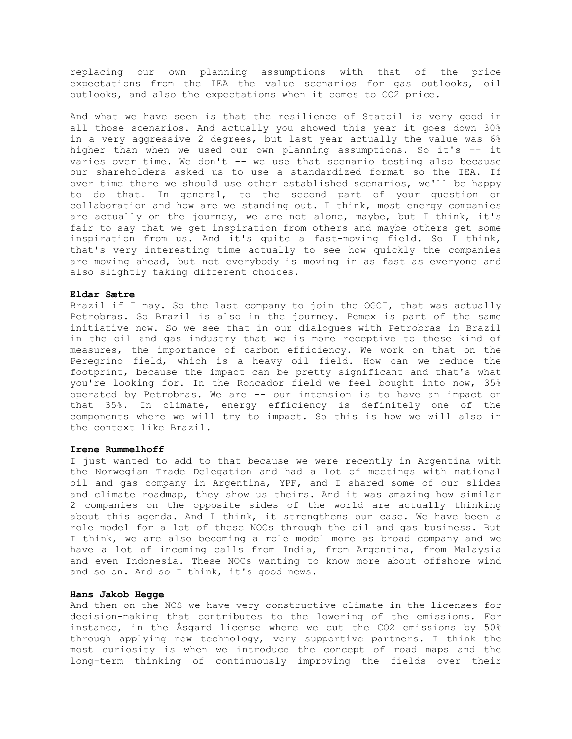replacing our own planning assumptions with that of the price expectations from the IEA the value scenarios for gas outlooks, oil outlooks, and also the expectations when it comes to CO2 price.

And what we have seen is that the resilience of Statoil is very good in all those scenarios. And actually you showed this year it goes down 30% in a very aggressive 2 degrees, but last year actually the value was 6% higher than when we used our own planning assumptions. So it's -- it varies over time. We don't -- we use that scenario testing also because our shareholders asked us to use a standardized format so the IEA. If over time there we should use other established scenarios, we'll be happy to do that. In general, to the second part of your question on collaboration and how are we standing out. I think, most energy companies are actually on the journey, we are not alone, maybe, but I think, it's fair to say that we get inspiration from others and maybe others get some inspiration from us. And it's quite a fast-moving field. So I think, that's very interesting time actually to see how quickly the companies are moving ahead, but not everybody is moving in as fast as everyone and also slightly taking different choices.

#### **Eldar Sætre**

Brazil if I may. So the last company to join the OGCI, that was actually Petrobras. So Brazil is also in the journey. Pemex is part of the same initiative now. So we see that in our dialogues with Petrobras in Brazil in the oil and gas industry that we is more receptive to these kind of measures, the importance of carbon efficiency. We work on that on the Peregrino field, which is a heavy oil field. How can we reduce the footprint, because the impact can be pretty significant and that's what you're looking for. In the Roncador field we feel bought into now, 35% operated by Petrobras. We are -- our intension is to have an impact on that 35%. In climate, energy efficiency is definitely one of the components where we will try to impact. So this is how we will also in the context like Brazil.

#### **Irene Rummelhoff**

I just wanted to add to that because we were recently in Argentina with the Norwegian Trade Delegation and had a lot of meetings with national oil and gas company in Argentina, YPF, and I shared some of our slides and climate roadmap, they show us theirs. And it was amazing how similar 2 companies on the opposite sides of the world are actually thinking about this agenda. And I think, it strengthens our case. We have been a role model for a lot of these NOCs through the oil and gas business. But I think, we are also becoming a role model more as broad company and we have a lot of incoming calls from India, from Argentina, from Malaysia and even Indonesia. These NOCs wanting to know more about offshore wind and so on. And so I think, it's good news.

## **Hans Jakob Hegge**

And then on the NCS we have very constructive climate in the licenses for decision-making that contributes to the lowering of the emissions. For instance, in the Åsgard license where we cut the CO2 emissions by 50% through applying new technology, very supportive partners. I think the most curiosity is when we introduce the concept of road maps and the long-term thinking of continuously improving the fields over their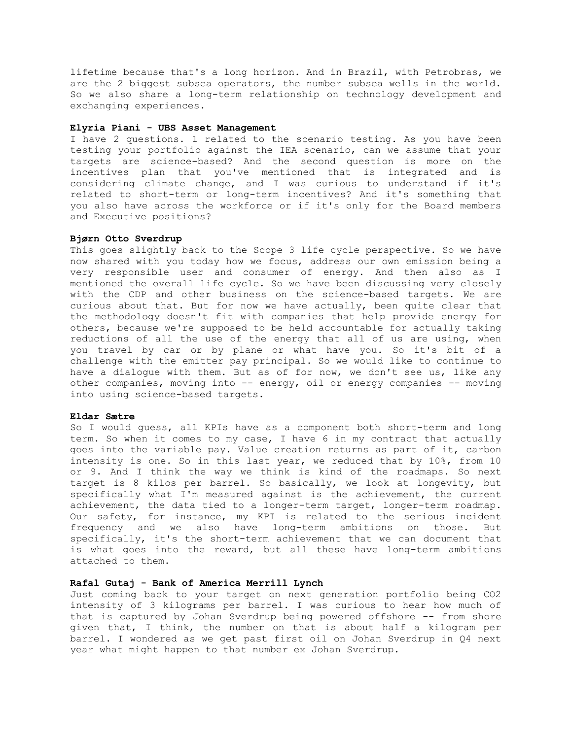lifetime because that's a long horizon. And in Brazil, with Petrobras, we are the 2 biggest subsea operators, the number subsea wells in the world. So we also share a long-term relationship on technology development and exchanging experiences.

## **Elyria Piani - UBS Asset Management**

I have 2 questions. 1 related to the scenario testing. As you have been testing your portfolio against the IEA scenario, can we assume that your targets are science-based? And the second question is more on the incentives plan that you've mentioned that is integrated and is considering climate change, and I was curious to understand if it's related to short-term or long-term incentives? And it's something that you also have across the workforce or if it's only for the Board members and Executive positions?

## **Bjørn Otto Sverdrup**

This goes slightly back to the Scope 3 life cycle perspective. So we have now shared with you today how we focus, address our own emission being a very responsible user and consumer of energy. And then also as I mentioned the overall life cycle. So we have been discussing very closely with the CDP and other business on the science-based targets. We are curious about that. But for now we have actually, been quite clear that the methodology doesn't fit with companies that help provide energy for others, because we're supposed to be held accountable for actually taking reductions of all the use of the energy that all of us are using, when you travel by car or by plane or what have you. So it's bit of a challenge with the emitter pay principal. So we would like to continue to have a dialogue with them. But as of for now, we don't see us, like any other companies, moving into -- energy, oil or energy companies -- moving into using science-based targets.

### **Eldar Sætre**

So I would guess, all KPIs have as a component both short-term and long term. So when it comes to my case, I have 6 in my contract that actually goes into the variable pay. Value creation returns as part of it, carbon intensity is one. So in this last year, we reduced that by 10%, from 10 or 9. And I think the way we think is kind of the roadmaps. So next target is 8 kilos per barrel. So basically, we look at longevity, but specifically what I'm measured against is the achievement, the current achievement, the data tied to a longer-term target, longer-term roadmap. Our safety, for instance, my KPI is related to the serious incident frequency and we also have long-term ambitions on those. But specifically, it's the short-term achievement that we can document that is what goes into the reward, but all these have long-term ambitions attached to them.

## **Rafal Gutaj - Bank of America Merrill Lynch**

Just coming back to your target on next generation portfolio being CO2 intensity of 3 kilograms per barrel. I was curious to hear how much of that is captured by Johan Sverdrup being powered offshore -- from shore given that, I think, the number on that is about half a kilogram per barrel. I wondered as we get past first oil on Johan Sverdrup in Q4 next year what might happen to that number ex Johan Sverdrup.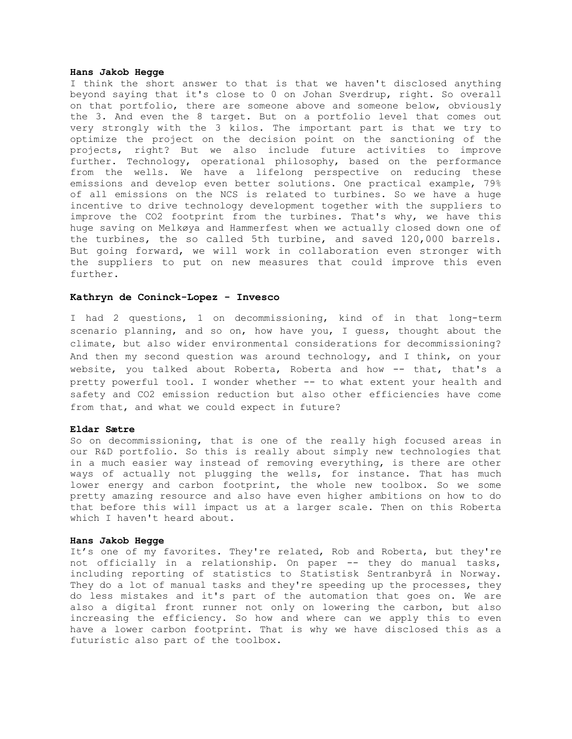## **Hans Jakob Hegge**

I think the short answer to that is that we haven't disclosed anything beyond saying that it's close to 0 on Johan Sverdrup, right. So overall on that portfolio, there are someone above and someone below, obviously the 3. And even the 8 target. But on a portfolio level that comes out very strongly with the 3 kilos. The important part is that we try to optimize the project on the decision point on the sanctioning of the projects, right? But we also include future activities to improve further. Technology, operational philosophy, based on the performance from the wells. We have a lifelong perspective on reducing these emissions and develop even better solutions. One practical example, 79% of all emissions on the NCS is related to turbines. So we have a huge incentive to drive technology development together with the suppliers to improve the CO2 footprint from the turbines. That's why, we have this huge saving on Melkøya and Hammerfest when we actually closed down one of the turbines, the so called 5th turbine, and saved 120,000 barrels. But going forward, we will work in collaboration even stronger with the suppliers to put on new measures that could improve this even further.

## **Kathryn de Coninck-Lopez - Invesco**

I had 2 questions, 1 on decommissioning, kind of in that long-term scenario planning, and so on, how have you, I guess, thought about the climate, but also wider environmental considerations for decommissioning? And then my second question was around technology, and I think, on your website, you talked about Roberta, Roberta and how -- that, that's a pretty powerful tool. I wonder whether -- to what extent your health and safety and CO2 emission reduction but also other efficiencies have come from that, and what we could expect in future?

### **Eldar Sætre**

So on decommissioning, that is one of the really high focused areas in our R&D portfolio. So this is really about simply new technologies that in a much easier way instead of removing everything, is there are other ways of actually not plugging the wells, for instance. That has much lower energy and carbon footprint, the whole new toolbox. So we some pretty amazing resource and also have even higher ambitions on how to do that before this will impact us at a larger scale. Then on this Roberta which I haven't heard about.

### **Hans Jakob Hegge**

It's one of my favorites. They're related, Rob and Roberta, but they're not officially in a relationship. On paper -- they do manual tasks, including reporting of statistics to Statistisk Sentranbyrå in Norway. They do a lot of manual tasks and they're speeding up the processes, they do less mistakes and it's part of the automation that goes on. We are also a digital front runner not only on lowering the carbon, but also increasing the efficiency. So how and where can we apply this to even have a lower carbon footprint. That is why we have disclosed this as a futuristic also part of the toolbox.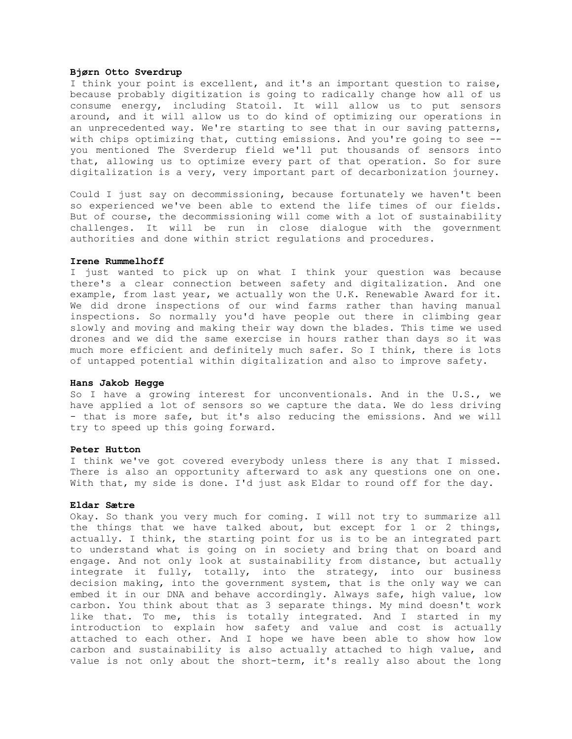## **Bjørn Otto Sverdrup**

I think your point is excellent, and it's an important question to raise, because probably digitization is going to radically change how all of us consume energy, including Statoil. It will allow us to put sensors around, and it will allow us to do kind of optimizing our operations in an unprecedented way. We're starting to see that in our saving patterns, with chips optimizing that, cutting emissions. And you're going to see -you mentioned The Sverderup field we'll put thousands of sensors into that, allowing us to optimize every part of that operation. So for sure digitalization is a very, very important part of decarbonization journey.

Could I just say on decommissioning, because fortunately we haven't been so experienced we've been able to extend the life times of our fields. But of course, the decommissioning will come with a lot of sustainability challenges. It will be run in close dialogue with the government authorities and done within strict regulations and procedures.

### **Irene Rummelhoff**

I just wanted to pick up on what I think your question was because there's a clear connection between safety and digitalization. And one example, from last year, we actually won the U.K. Renewable Award for it. We did drone inspections of our wind farms rather than having manual inspections. So normally you'd have people out there in climbing gear slowly and moving and making their way down the blades. This time we used drones and we did the same exercise in hours rather than days so it was much more efficient and definitely much safer. So I think, there is lots of untapped potential within digitalization and also to improve safety.

## **Hans Jakob Hegge**

So I have a growing interest for unconventionals. And in the U.S., we have applied a lot of sensors so we capture the data. We do less driving - that is more safe, but it's also reducing the emissions. And we will try to speed up this going forward.

## **Peter Hutton**

I think we've got covered everybody unless there is any that I missed. There is also an opportunity afterward to ask any questions one on one. With that, my side is done. I'd just ask Eldar to round off for the day.

## **Eldar Sætre**

Okay. So thank you very much for coming. I will not try to summarize all the things that we have talked about, but except for 1 or 2 things, actually. I think, the starting point for us is to be an integrated part to understand what is going on in society and bring that on board and engage. And not only look at sustainability from distance, but actually integrate it fully, totally, into the strategy, into our business decision making, into the government system, that is the only way we can embed it in our DNA and behave accordingly. Always safe, high value, low carbon. You think about that as 3 separate things. My mind doesn't work like that. To me, this is totally integrated. And I started in my introduction to explain how safety and value and cost is actually attached to each other. And I hope we have been able to show how low carbon and sustainability is also actually attached to high value, and value is not only about the short-term, it's really also about the long